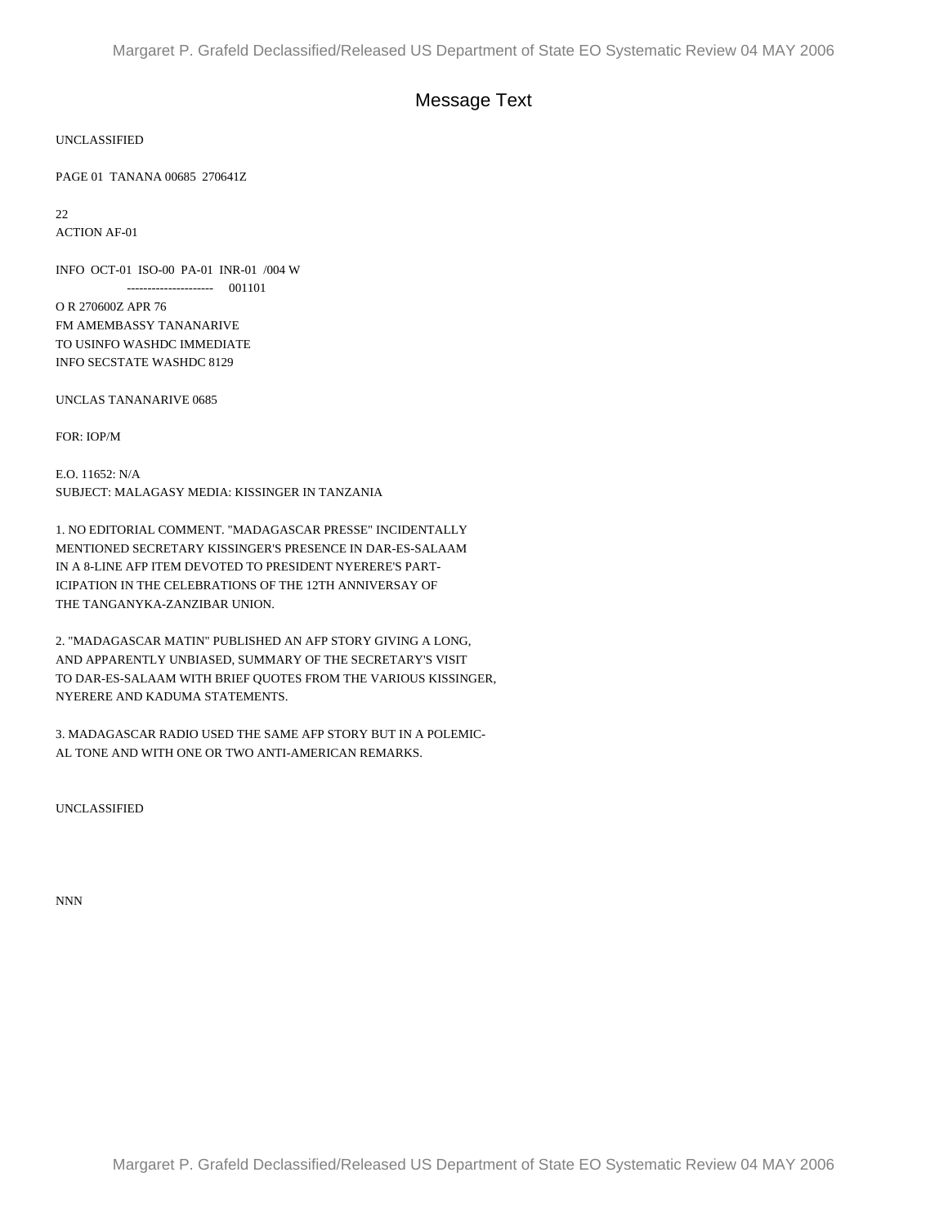## Message Text

UNCLASSIFIED

PAGE 01 TANANA 00685 270641Z

22

ACTION AF-01

INFO OCT-01 ISO-00 PA-01 INR-01 /004 W --------------------- 001101

O R 270600Z APR 76 FM AMEMBASSY TANANARIVE TO USINFO WASHDC IMMEDIATE INFO SECSTATE WASHDC 8129

UNCLAS TANANARIVE 0685

FOR: IOP/M

E.O. 11652: N/A SUBJECT: MALAGASY MEDIA: KISSINGER IN TANZANIA

1. NO EDITORIAL COMMENT. "MADAGASCAR PRESSE" INCIDENTALLY MENTIONED SECRETARY KISSINGER'S PRESENCE IN DAR-ES-SALAAM IN A 8-LINE AFP ITEM DEVOTED TO PRESIDENT NYERERE'S PART-ICIPATION IN THE CELEBRATIONS OF THE 12TH ANNIVERSAY OF THE TANGANYKA-ZANZIBAR UNION.

2. "MADAGASCAR MATIN" PUBLISHED AN AFP STORY GIVING A LONG, AND APPARENTLY UNBIASED, SUMMARY OF THE SECRETARY'S VISIT TO DAR-ES-SALAAM WITH BRIEF QUOTES FROM THE VARIOUS KISSINGER, NYERERE AND KADUMA STATEMENTS.

3. MADAGASCAR RADIO USED THE SAME AFP STORY BUT IN A POLEMIC-AL TONE AND WITH ONE OR TWO ANTI-AMERICAN REMARKS.

UNCLASSIFIED

NNN